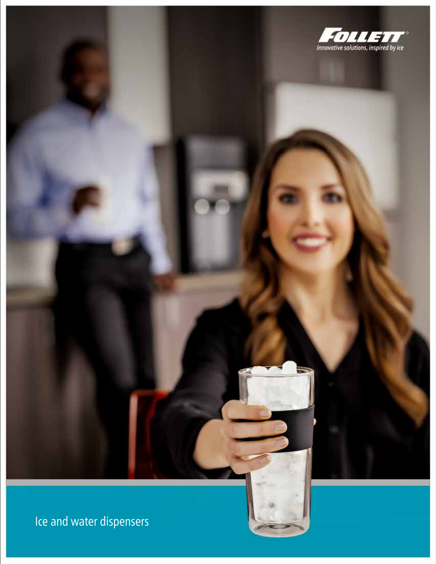

Ice and water dispensers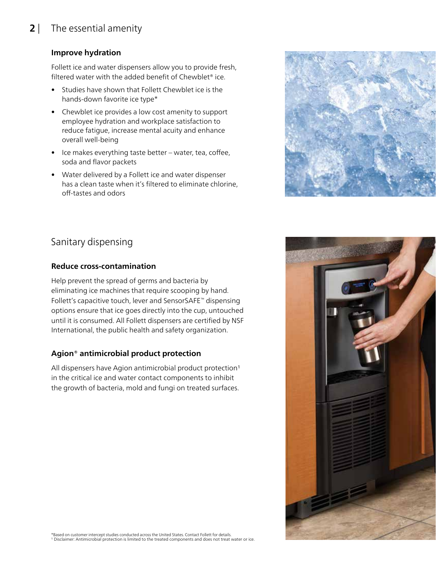# **2** | The essential amenity

### **Improve hydration**

Follett ice and water dispensers allow you to provide fresh, filtered water with the added benefit of Chewblet® ice.

- Studies have shown that Follett Chewblet ice is the hands‑down favorite ice type\*
- Chewblet ice provides a low cost amenity to support employee hydration and workplace satisfaction to reduce fatigue, increase mental acuity and enhance overall well‑being
- Ice makes everything taste better water, tea, coffee, soda and flavor packets
- Water delivered by a Follett ice and water dispenser has a clean taste when it's filtered to eliminate chlorine, off‑tastes and odors



# Sanitary dispensing

#### **Reduce cross-contamination**

Help prevent the spread of germs and bacteria by eliminating ice machines that require scooping by hand. Follett's capacitive touch, lever and SensorSAFE™ dispensing options ensure that ice goes directly into the cup, untouched until it is consumed. All Follett dispensers are certified by NSF International, the public health and safety organization.

### **Agion® antimicrobial product protection**

All dispensers have Agion antimicrobial product protection1 in the critical ice and water contact components to inhibit the growth of bacteria, mold and fungi on treated surfaces.

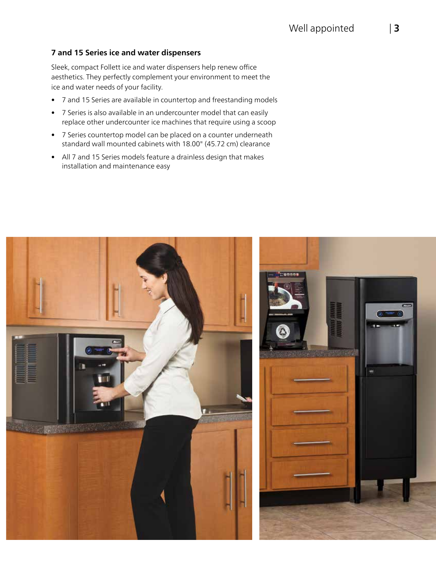#### **7 and 15 Series ice and water dispensers**

Sleek, compact Follett ice and water dispensers help renew office aesthetics. They perfectly complement your environment to meet the ice and water needs of your facility.

- 7 and 15 Series are available in countertop and freestanding models
- 7 Series is also available in an undercounter model that can easily replace other undercounter ice machines that require using a scoop
- 7 Series countertop model can be placed on a counter underneath standard wall mounted cabinets with 18.00" (45.72 cm) clearance
- All 7 and 15 Series models feature a drainless design that makes installation and maintenance easy

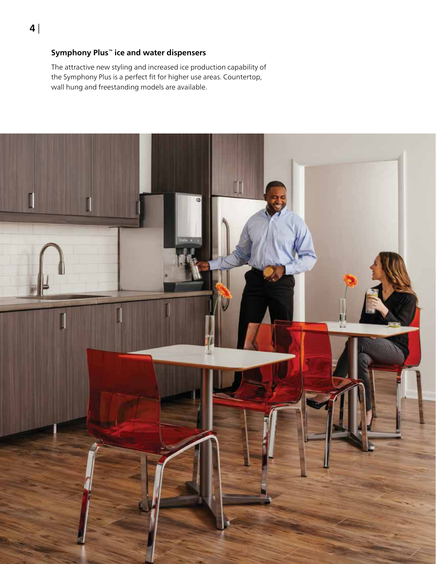### **Symphony Plus™ ice and water dispensers**

The attractive new styling and increased ice production capability of the Symphony Plus is a perfect fit for higher use areas. Countertop, wall hung and freestanding models are available.

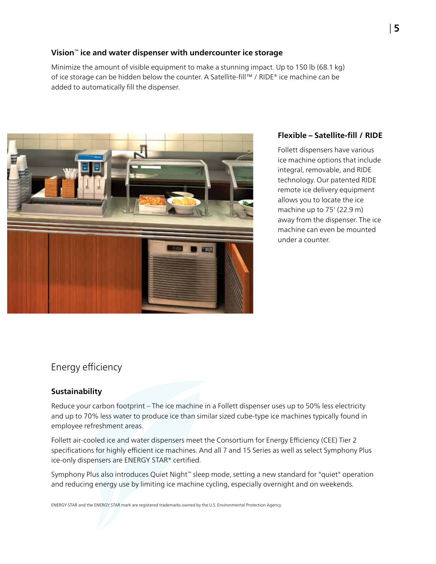#### **Vision™ ice and water dispenser with undercounter ice storage**

Minimize the amount of visible equipment to make a stunning impact. Up to 150 lb (68.1 kg) of ice storage can be hidden below the counter. A Satellite‑fill™ / RIDE® ice machine can be added to automatically fill the dispenser.



#### **Flexible – Satellite-fill / RIDE**

Follett dispensers have various ice machine options that include integral, removable, and RIDE technology. Our patented RIDE remote ice delivery equipment allows you to locate the ice machine up to 75' (22.9 m) away from the dispenser. The ice machine can even be mounted under a counter.

## Energy efficiency

#### **Sustainability**

Reduce your carbon footprint – The ice machine in a Follett dispenser uses up to 50% less electricity and up to 70% less water to produce ice than similar sized cube-type ice machines typically found in employee refreshment areas.

Follett air-cooled ice and water dispensers meet the Consortium for Energy Efficiency (CEE) Tier 2 specifications for highly efficient ice machines. And all 7 and 15 Series as well as select Symphony Plus ice-only dispensers are ENERGY STAR® certified.

Symphony Plus also introduces Quiet Night™ sleep mode, setting a new standard for "quiet" operation and reducing energy use by limiting ice machine cycling, especially overnight and on weekends.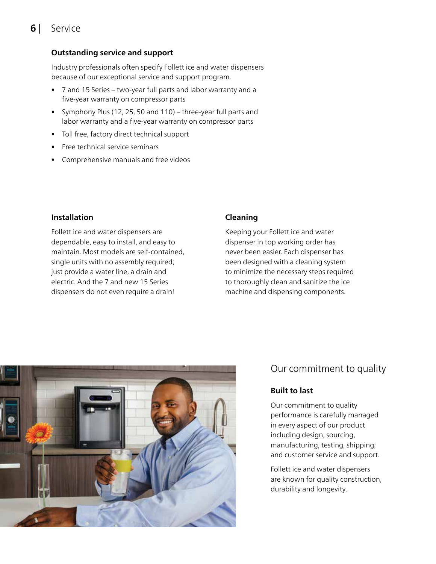# **6** | Service

#### **Outstanding service and support**

Industry professionals often specify Follett ice and water dispensers because of our exceptional service and support program.

- 7 and 15 Series two-year full parts and labor warranty and a five-year warranty on compressor parts
- Symphony Plus (12, 25, 50 and 110) three-year full parts and labor warranty and a five-year warranty on compressor parts
- Toll free, factory direct technical support
- Free technical service seminars
- Comprehensive manuals and free videos

#### **Installation**

Follett ice and water dispensers are dependable, easy to install, and easy to maintain. Most models are self-contained, single units with no assembly required; just provide a water line, a drain and electric. And the 7 and new 15 Series dispensers do not even require a drain!

#### **Cleaning**

Keeping your Follett ice and water dispenser in top working order has never been easier. Each dispenser has been designed with a cleaning system to minimize the necessary steps required to thoroughly clean and sanitize the ice machine and dispensing components.



## Our commitment to quality

#### **Built to last**

Our commitment to quality performance is carefully managed in every aspect of our product including design, sourcing, manufacturing, testing, shipping; and customer service and support.

Follett ice and water dispensers are known for quality construction, durability and longevity.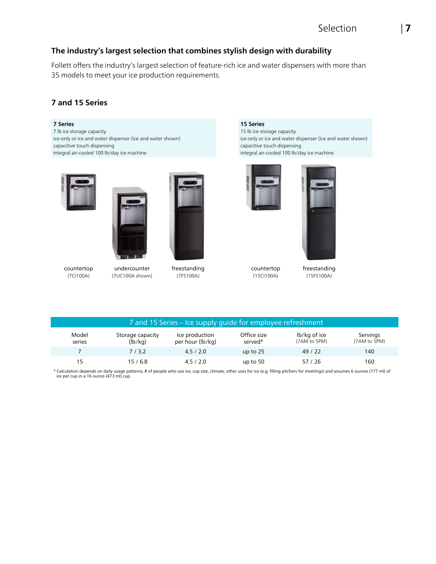### **The industry's largest selection that combines stylish design with durability**

Follett offers the industry's largest selection of feature-rich ice and water dispensers with more than 35 models to meet your ice production requirements.

#### **7 and 15 Series**

#### **7 Series**

7 lb ice storage capacity ice-only or ice and water dispenser (ice and water shown) capacitive touch dispensing integral air-cooled 100 lb/day ice machine







countertop (7CI100A)

undercounter (7UC100A shown)

freestanding (7FS100A)

**15 Series**

15 lb ice storage capacity ice-only or ice and water dispenser (ice and water shown) capacitive touch dispensing integral air-cooled 100 lb/day ice machine





countertop (15CI100A)

freestanding (15FS100A)

| 7 and 15 Series – Ice supply guide for employee refreshment |                             |                                    |                        |                              |                          |  |  |  |
|-------------------------------------------------------------|-----------------------------|------------------------------------|------------------------|------------------------------|--------------------------|--|--|--|
| Model<br>series                                             | Storage capacity<br>(lb/kg) | Ice production<br>per hour (lb/kg) | Office size<br>served* | lb/kg of ice<br>(7AM to 5PM) | Servings<br>(7AM to 5PM) |  |  |  |
|                                                             | 7/3.2                       | 4.5/2.0                            | up to $25$             | 49/22                        | 140                      |  |  |  |
| 15                                                          | 15/6.8                      | 4.5/2.0                            | up to $50$             | 57/26                        | 160                      |  |  |  |

\* Calculation depends on daily usage patterns, # of people who use ice, cup size, climate, other uses for ice (e.g. filling pitchers for meetings) and assumes 6 ounces (177 ml) of ice per cup in a 16 ounce (473 ml) cup.